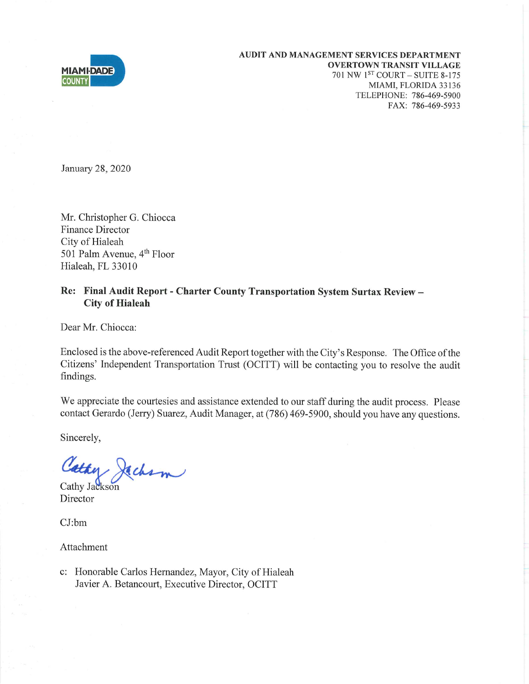

January 28, 2020

Mr. Christopher G. Chiocca **Finance Director** City of Hialeah 501 Palm Avenue, 4<sup>th</sup> Floor Hialeah, FL 33010

## Re: Final Audit Report - Charter County Transportation System Surtax Review -**City of Hialeah**

Dear Mr. Chiocca:

Enclosed is the above-referenced Audit Report together with the City's Response. The Office of the Citizens' Independent Transportation Trust (OCITT) will be contacting you to resolve the audit findings.

We appreciate the courtesies and assistance extended to our staff during the audit process. Please contact Gerardo (Jerry) Suarez, Audit Manager, at (786) 469-5900, should you have any questions.

Sincerely,

Cathy Jachson

Director

 $CJ:bm$ 

Attachment

c: Honorable Carlos Hernandez, Mayor, City of Hialeah Javier A. Betancourt, Executive Director, OCITT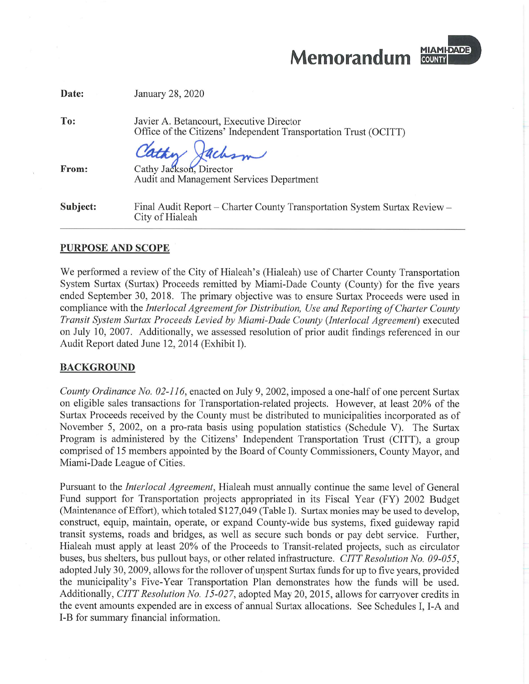Memorandum



| Date:    | January 28, 2020                                                                                             |
|----------|--------------------------------------------------------------------------------------------------------------|
| To:      | Javier A. Betancourt, Executive Director<br>Office of the Citizens' Independent Transportation Trust (OCITT) |
| From:    | Cathy Jackson<br><b>Audit and Management Services Department</b>                                             |
| Subject: | Final Audit Report – Charter County Transportation System Surtax Review –<br>City of Hialeah                 |

## **PURPOSE AND SCOPE**

We performed a review of the City of Hialeah's (Hialeah) use of Charter County Transportation System Surtax (Surtax) Proceeds remitted by Miami-Dade County (County) for the five years ended September 30, 2018. The primary objective was to ensure Surtax Proceeds were used in compliance with the Interlocal Agreement for Distribution, Use and Reporting of Charter County Transit System Surtax Proceeds Levied by Miami-Dade County (Interlocal Agreement) executed on July 10, 2007. Additionally, we assessed resolution of prior audit findings referenced in our Audit Report dated June 12, 2014 (Exhibit I).

### **BACKGROUND**

County Ordinance No. 02-116, enacted on July 9, 2002, imposed a one-half of one percent Surtax on eligible sales transactions for Transportation-related projects. However, at least 20% of the Surtax Proceeds received by the County must be distributed to municipalities incorporated as of November 5, 2002, on a pro-rata basis using population statistics (Schedule V). The Surtax Program is administered by the Citizens' Independent Transportation Trust (CITT), a group comprised of 15 members appointed by the Board of County Commissioners, County Mayor, and Miami-Dade League of Cities.

Pursuant to the *Interlocal Agreement*, Hialeah must annually continue the same level of General Fund support for Transportation projects appropriated in its Fiscal Year (FY) 2002 Budget (Maintenance of Effort), which totaled \$127,049 (Table I). Surtax monies may be used to develop, construct, equip, maintain, operate, or expand County-wide bus systems, fixed guideway rapid transit systems, roads and bridges, as well as secure such bonds or pay debt service. Further, Hialeah must apply at least 20% of the Proceeds to Transit-related projects, such as circulator buses, bus shelters, bus pullout bays, or other related infrastructure. CITT Resolution No. 09-055, adopted July 30, 2009, allows for the rollover of unspent Surtax funds for up to five years, provided the municipality's Five-Year Transportation Plan demonstrates how the funds will be used. Additionally, CITT Resolution No. 15-027, adopted May 20, 2015, allows for carryover credits in the event amounts expended are in excess of annual Surtax allocations. See Schedules I, I-A and I-B for summary financial information.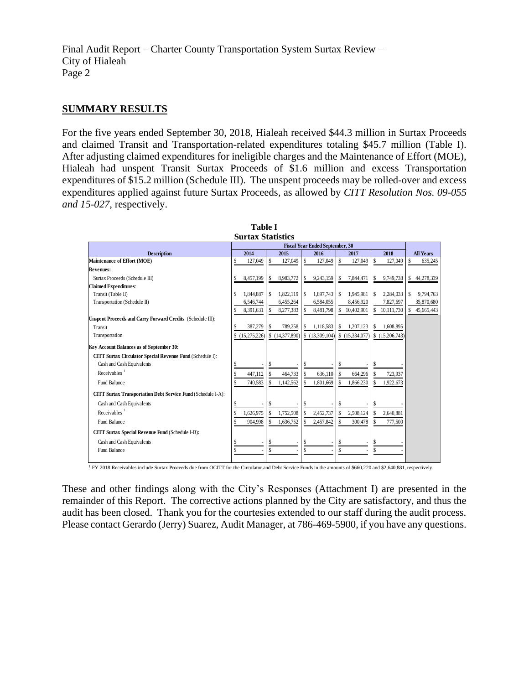## **SUMMARY RESULTS**

For the five years ended September 30, 2018, Hialeah received \$44.3 million in Surtax Proceeds and claimed Transit and Transportation-related expenditures totaling \$45.7 million (Table I). After adjusting claimed expenditures for ineligible charges and the Maintenance of Effort (MOE), Hialeah had unspent Transit Surtax Proceeds of \$1.6 million and excess Transportation expenditures of \$15.2 million (Schedule III). The unspent proceeds may be rolled-over and excess expenditures applied against future Surtax Proceeds, as allowed by *CITT Resolution Nos. 09-055 and 15-027,* respectively.

| <b>Surtax Statistics</b>                                     |                                        |                   |                                     |                 |                  |
|--------------------------------------------------------------|----------------------------------------|-------------------|-------------------------------------|-----------------|------------------|
|                                                              | <b>Fiscal Year Ended September, 30</b> |                   |                                     |                 |                  |
| <b>Description</b>                                           | 2014                                   | 2015              | 2016<br>2017                        | 2018            | <b>All Years</b> |
| Maintenance of Effort (MOE)                                  | Ś<br>127,049                           | \$<br>127,049     | S<br>S<br>127,049<br>127,049        | \$<br>127,049   | \$<br>635,245    |
| <b>Revenues:</b>                                             |                                        |                   |                                     |                 |                  |
| Surtax Proceeds (Schedule III)                               | 8,457,199<br>S                         | 8,983,772         | 9,243,159<br>7,844,471<br>s<br>S    | \$<br>9,749,738 | 44,278,339<br>\$ |
| <b>Claimed Expenditures:</b>                                 |                                        |                   |                                     |                 |                  |
| Transit (Table II)                                           | 1,844,887<br>S                         | 1,822,119<br>S    | 1,897,743<br>\$<br>1,945,981<br>s   | 2,284,033<br>s. | 9,794,763<br>S   |
| Transportation (Schedule II)                                 | 6,546,744                              | 6,455,264         | 6,584,055<br>8,456,920              | 7,827,697       | 35,870,680       |
|                                                              | 8,391,631                              | 8,277,383         | 8,481,798<br>10,402,901<br>S        | 10,111,730      | 45,665,443<br>S. |
| Unspent Proceeds and Carry Forward Credits (Schedule III):   |                                        |                   |                                     |                 |                  |
| Transit                                                      | 387,279                                | 789,258           | 1,118,583<br>1,207,123<br>\$<br>S   | 1,608,895       |                  |
| Transportation                                               | (15,275,226)<br>S                      | \$ $(14,377,890)$ | \$(13,309,104)<br>S<br>(15,334,077) | \$(15,206,743)  |                  |
| Key Account Balances as of September 30:                     |                                        |                   |                                     |                 |                  |
| CITT Surtax Circulator Special Revenue Fund (Schedule I):    |                                        |                   |                                     |                 |                  |
| Cash and Cash Equivalents                                    |                                        | S                 |                                     | S               |                  |
| Receivables $1$                                              | 447,112<br>\$                          | \$<br>464,733     | \$<br>\$<br>636.110<br>664,296      | S<br>723,937    |                  |
| Fund Balance                                                 | 740,583                                | 1,142,562         | \$<br>1,801,669<br>1,866,230<br>\$  | 1,922,673       |                  |
| CITT Surtax Transportation Debt Service Fund (Schedule I-A): |                                        |                   |                                     |                 |                  |
| Cash and Cash Equivalents                                    | S                                      | \$                |                                     |                 |                  |
| Receivables <sup>1</sup>                                     | 1,626,975<br>\$                        | 1,752,508<br>\$   | 2,452,737<br>2,508,124<br>S         | 2,640,881       |                  |
| <b>Fund Balance</b>                                          | 904,998                                | 1,636,752         | \$<br>S<br>2,457,842<br>300,478     | 777,500         |                  |
| <b>CITT Surtax Special Revenue Fund (Schedule I-B):</b>      |                                        |                   |                                     |                 |                  |
| Cash and Cash Equivalents                                    |                                        | \$                | S                                   | S               |                  |
| <b>Fund Balance</b>                                          |                                        |                   |                                     |                 |                  |

**Table I**

<sup>1</sup> FY 2018 Receivables include Surtax Proceeds due from OCITT for the Circulator and Debt Service Funds in the amounts of \$660,220 and \$2,640,881, respectively.

These and other findings along with the City's Responses (Attachment I) are presented in the remainder of this Report. The corrective actions planned by the City are satisfactory, and thus the audit has been closed. Thank you for the courtesies extended to our staff during the audit process. Please contact Gerardo (Jerry) Suarez, Audit Manager, at 786-469-5900, if you have any questions.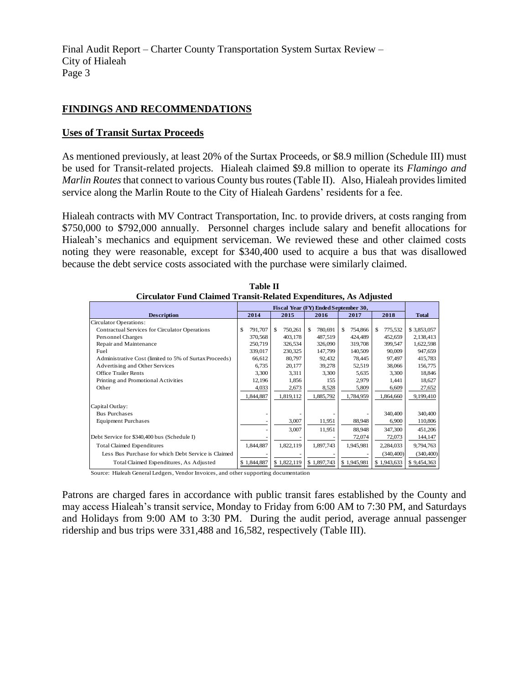## **FINDINGS AND RECOMMENDATIONS**

### **Uses of Transit Surtax Proceeds**

As mentioned previously, at least 20% of the Surtax Proceeds, or \$8.9 million (Schedule III) must be used for Transit-related projects. Hialeah claimed \$9.8 million to operate its *Flamingo and Marlin Routes*that connect to various County bus routes(Table II). Also, Hialeah provides limited service along the Marlin Route to the City of Hialeah Gardens' residents for a fee.

Hialeah contracts with MV Contract Transportation, Inc. to provide drivers, at costs ranging from \$750,000 to \$792,000 annually. Personnel charges include salary and benefit allocations for Hialeah's mechanics and equipment serviceman. We reviewed these and other claimed costs noting they were reasonable, except for \$340,400 used to acquire a bus that was disallowed because the debt service costs associated with the purchase were similarly claimed.

| Ulfullator Fund Ulanned Transit-Related Expenditures, As Adjusted |                                      |              |                |               |               |              |
|-------------------------------------------------------------------|--------------------------------------|--------------|----------------|---------------|---------------|--------------|
|                                                                   | Fiscal Year (FY) Ended September 30, |              |                |               |               |              |
| <b>Description</b>                                                | 2014                                 | 2015         | 2016           | 2017          | 2018          | <b>Total</b> |
| Circulator Operations:                                            |                                      |              |                |               |               |              |
| Contractual Services for Circulator Operations                    | \$<br>791.707                        | S<br>750,261 | \$.<br>780,691 | \$<br>754,866 | 775,532<br>£. | \$3,853,057  |
| Personnel Charges                                                 | 370,568                              | 403,178      | 487,519        | 424,489       | 452,659       | 2,138,413    |
| Repair and Maintenance                                            | 250,719                              | 326,534      | 326,090        | 319,708       | 399,547       | 1,622,598    |
| Fuel                                                              | 339,017                              | 230,325      | 147,799        | 140,509       | 90,009        | 947,659      |
| Administrative Cost (limited to 5% of Surtax Proceeds)            | 66,612                               | 80,797       | 92,432         | 78,445        | 97,497        | 415,783      |
| Advertising and Other Services                                    | 6,735                                | 20,177       | 39,278         | 52,519        | 38,066        | 156,775      |
| <b>Office Trailer Rents</b>                                       | 3,300                                | 3,311        | 3,300          | 5,635         | 3,300         | 18,846       |
| Printing and Promotional Activities                               | 12,196                               | 1,856        | 155            | 2,979         | 1,441         | 18,627       |
| Other                                                             | 4,033                                | 2,673        | 8,528          | 5,809         | 6,609         | 27,652       |
|                                                                   | 1,844,887                            | 1,819,112    | 1,885,792      | 1,784,959     | 1,864,660     | 9,199,410    |
| Capital Outlay:                                                   |                                      |              |                |               |               |              |
| <b>Bus Purchases</b>                                              |                                      |              |                |               | 340,400       | 340,400      |
| <b>Equipment Purchases</b>                                        |                                      | 3,007        | 11,951         | 88,948        | 6,900         | 110,806      |
|                                                                   |                                      | 3,007        | 11,951         | 88,948        | 347,300       | 451,206      |
| Debt Service for \$340,400 bus (Schedule I)                       |                                      |              |                | 72,074        | 72,073        | 144,147      |
| <b>Total Claimed Expenditures</b>                                 | 1,844,887                            | 1,822,119    | 1,897,743      | 1,945,981     | 2,284,033     | 9,794,763    |
| Less Bus Purchase for which Debt Service is Claimed               |                                      |              |                |               | (340, 400)    | (340, 400)   |
| Total Claimed Expenditures, As Adjusted                           | \$1,844,887                          | \$1,822,119  | \$1,897,743    | \$1,945,981   | \$1,943,633   | \$9,454,363  |

**Table II Circulator Fund Claimed Transit-Related Expenditures, As Adjusted**

Source: Hialeah General Ledgers, Vendor Invoices, and other supporting documentation

Patrons are charged fares in accordance with public transit fares established by the County and may access Hialeah's transit service, Monday to Friday from 6:00 AM to 7:30 PM, and Saturdays and Holidays from 9:00 AM to 3:30 PM. During the audit period, average annual passenger ridership and bus trips were 331,488 and 16,582, respectively (Table III).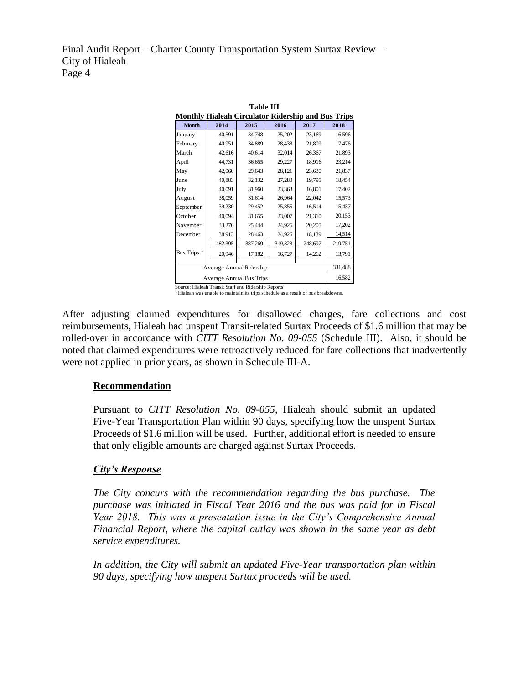| <b>Table III</b>                                          |                                     |         |         |         |         |  |  |
|-----------------------------------------------------------|-------------------------------------|---------|---------|---------|---------|--|--|
| <b>Monthly Hialeah Circulator Ridership and Bus Trips</b> |                                     |         |         |         |         |  |  |
| <b>Month</b>                                              | 2014                                | 2015    | 2016    | 2017    | 2018    |  |  |
| January                                                   | 40,591                              | 34,748  | 25,202  | 23,169  | 16,596  |  |  |
| February                                                  | 40,951                              | 34,889  | 28,438  | 21,809  | 17,476  |  |  |
| March                                                     | 42,616                              | 40,614  | 32,014  | 26,367  | 21,893  |  |  |
| April                                                     | 44,731                              | 36,655  | 29,227  | 18,916  | 23,214  |  |  |
| May                                                       | 42,960                              | 29,643  | 28,121  | 23,630  | 21,837  |  |  |
| June                                                      | 40,883                              | 32,132  | 27,280  | 19,795  | 18,454  |  |  |
| July                                                      | 40,091                              | 31,960  | 23,368  | 16,801  | 17,402  |  |  |
| August                                                    | 38,059                              | 31,614  | 26,964  | 22,042  | 15,573  |  |  |
| September                                                 | 39,230                              | 29,452  | 25,855  | 16,514  | 15,437  |  |  |
| October                                                   | 40,094                              | 31,655  | 23,007  | 21,310  | 20,153  |  |  |
| November                                                  | 33,276                              | 25,444  | 24,926  | 20,205  | 17,202  |  |  |
| December                                                  | 38,913                              | 28,463  | 24,926  | 18,139  | 14,514  |  |  |
|                                                           | 482,395                             | 387,269 | 319,328 | 248,697 | 219,751 |  |  |
| Bus Trips <sup>1</sup>                                    | 20,946                              | 17,182  | 16,727  | 14,262  | 13,791  |  |  |
|                                                           | 331,488<br>Average Annual Ridership |         |         |         |         |  |  |
| 16,582<br>Average Annual Bus Trips                        |                                     |         |         |         |         |  |  |
| Source: Hialeah Transit Staff and Ridership Reports       |                                     |         |         |         |         |  |  |

Source: Hialeah Transit Staff and Ridership Reports <sup>1</sup>Hialeah was unable to maintain its trips schedule as a result of bus breakdowns.

After adjusting claimed expenditures for disallowed charges, fare collections and cost reimbursements, Hialeah had unspent Transit-related Surtax Proceeds of \$1.6 million that may be rolled-over in accordance with *CITT Resolution No. 09-055* (Schedule III). Also, it should be noted that claimed expenditures were retroactively reduced for fare collections that inadvertently were not applied in prior years, as shown in Schedule III-A.

## **Recommendation**

Pursuant to *CITT Resolution No. 09-055*, Hialeah should submit an updated Five-Year Transportation Plan within 90 days, specifying how the unspent Surtax Proceeds of \$1.6 million will be used. Further, additional effort is needed to ensure that only eligible amounts are charged against Surtax Proceeds.

## *City's Response*

*The City concurs with the recommendation regarding the bus purchase. The purchase was initiated in Fiscal Year 2016 and the bus was paid for in Fiscal Year 2018. This was a presentation issue in the City's Comprehensive Annual Financial Report, where the capital outlay was shown in the same year as debt service expenditures.*

*In addition, the City will submit an updated Five-Year transportation plan within 90 days, specifying how unspent Surtax proceeds will be used.*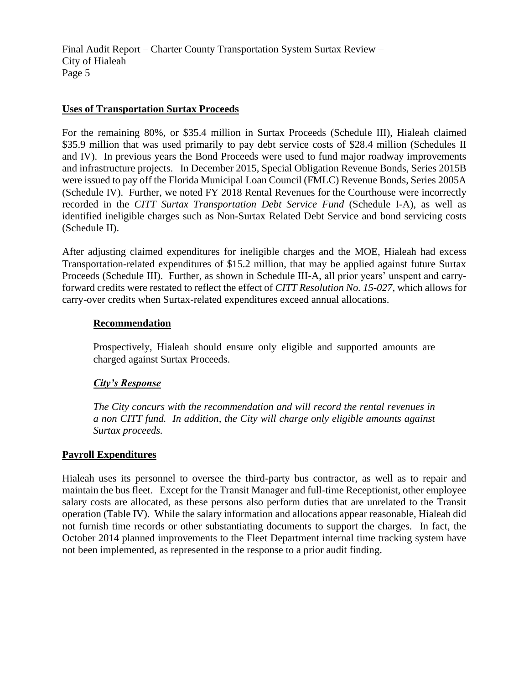## **Uses of Transportation Surtax Proceeds**

For the remaining 80%, or \$35.4 million in Surtax Proceeds (Schedule III), Hialeah claimed \$35.9 million that was used primarily to pay debt service costs of \$28.4 million (Schedules II and IV). In previous years the Bond Proceeds were used to fund major roadway improvements and infrastructure projects. In December 2015, Special Obligation Revenue Bonds, Series 2015B were issued to pay off the Florida Municipal Loan Council (FMLC) Revenue Bonds, Series 2005A (Schedule IV). Further, we noted FY 2018 Rental Revenues for the Courthouse were incorrectly recorded in the *CITT Surtax Transportation Debt Service Fund* (Schedule I-A), as well as identified ineligible charges such as Non-Surtax Related Debt Service and bond servicing costs (Schedule II).

After adjusting claimed expenditures for ineligible charges and the MOE, Hialeah had excess Transportation-related expenditures of \$15.2 million, that may be applied against future Surtax Proceeds (Schedule III). Further, as shown in Schedule III-A, all prior years' unspent and carryforward credits were restated to reflect the effect of *CITT Resolution No. 15-027,* which allows for carry-over credits when Surtax-related expenditures exceed annual allocations.

## **Recommendation**

Prospectively, Hialeah should ensure only eligible and supported amounts are charged against Surtax Proceeds.

# *City's Response*

*The City concurs with the recommendation and will record the rental revenues in a non CITT fund. In addition, the City will charge only eligible amounts against Surtax proceeds.*

## **Payroll Expenditures**

Hialeah uses its personnel to oversee the third-party bus contractor, as well as to repair and maintain the bus fleet. Except for the Transit Manager and full-time Receptionist, other employee salary costs are allocated, as these persons also perform duties that are unrelated to the Transit operation (Table IV). While the salary information and allocations appear reasonable, Hialeah did not furnish time records or other substantiating documents to support the charges. In fact, the October 2014 planned improvements to the Fleet Department internal time tracking system have not been implemented, as represented in the response to a prior audit finding.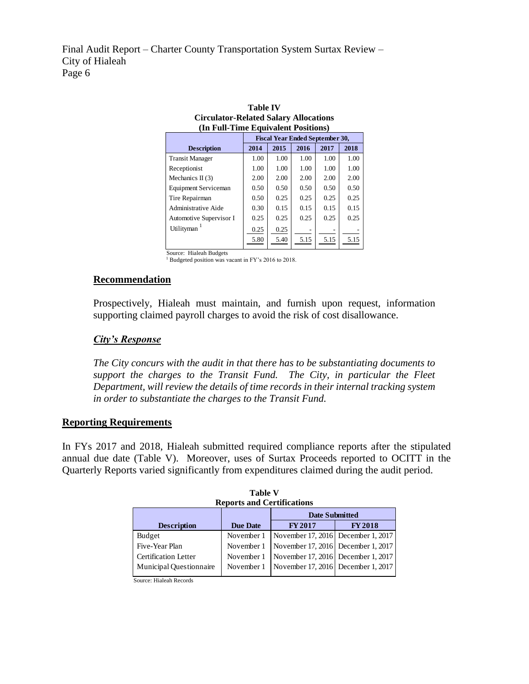| Circulator-Related Salary Allocations |                                        |      |      |      |      |  |
|---------------------------------------|----------------------------------------|------|------|------|------|--|
| (In Full-Time Equivalent Positions)   |                                        |      |      |      |      |  |
|                                       | <b>Fiscal Year Ended September 30,</b> |      |      |      |      |  |
| <b>Description</b>                    | 2018<br>2015<br>2016<br>2017<br>2014   |      |      |      |      |  |
| <b>Transit Manager</b>                | 1.00                                   | 1.00 | 1.00 | 1.00 | 1.00 |  |
| Receptionist                          | 1.00                                   | 1.00 | 1.00 | 1.00 | 1.00 |  |
| Mechanics II $(3)$                    | 2.00                                   | 2.00 | 2.00 | 2.00 | 2.00 |  |
| Equipment Serviceman                  | 0.50                                   | 0.50 | 0.50 | 0.50 | 0.50 |  |
| Tire Repairman                        | 0.50                                   | 0.25 | 0.25 | 0.25 | 0.25 |  |
| Administrative Aide                   | 0.30                                   | 0.15 | 0.15 | 0.15 | 0.15 |  |
| Automotive Supervisor I               | 0.25                                   | 0.25 | 0.25 | 0.25 | 0.25 |  |
| Utilityman                            | 0.25                                   | 0.25 |      |      |      |  |
|                                       | 5.80                                   | 5.40 | 5.15 | 5.15 | 5.15 |  |

**Table IV Circulator-Related Salary Allocations**

Source: Hialeah Budgets

<sup>1</sup> Budgeted position was vacant in FY's 2016 to 2018.

#### **Recommendation**

Prospectively, Hialeah must maintain, and furnish upon request, information supporting claimed payroll charges to avoid the risk of cost disallowance.

### *City's Response*

*The City concurs with the audit in that there has to be substantiating documents to support the charges to the Transit Fund. The City, in particular the Fleet Department, will review the details of time records in their internal tracking system in order to substantiate the charges to the Transit Fund.*

### **Reporting Requirements**

In FYs 2017 and 2018, Hialeah submitted required compliance reports after the stipulated annual due date (Table V). Moreover, uses of Surtax Proceeds reported to OCITT in the Quarterly Reports varied significantly from expenditures claimed during the audit period.

|                             | <b>Reports and Certifications</b><br><b>Date Submitted</b> |                                    |               |  |  |
|-----------------------------|------------------------------------------------------------|------------------------------------|---------------|--|--|
| <b>Description</b>          | <b>Due Date</b>                                            | <b>FY2017</b>                      | <b>FY2018</b> |  |  |
| Budget                      | November 1                                                 | November 17, 2016 December 1, 2017 |               |  |  |
| Five-Year Plan              | November 1                                                 | November 17, 2016 December 1, 2017 |               |  |  |
| <b>Certification Letter</b> | November 1                                                 | November 17, 2016 December 1, 2017 |               |  |  |
| Municipal Questionnaire     | November 1                                                 | November 17, 2016 December 1, 2017 |               |  |  |

**Table V Reports and Certifications**

Source: Hialeah Records